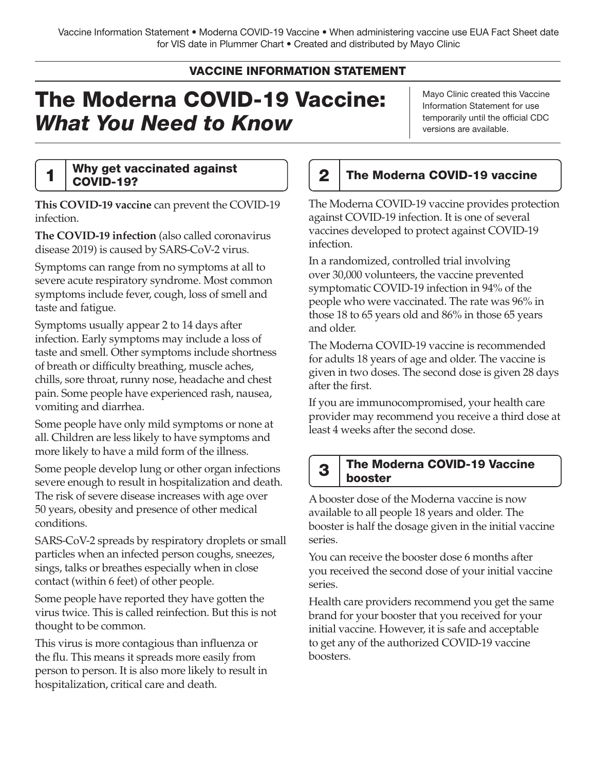## VACCINE INFORMATION STATEMENT

# The Moderna COVID-19 Vaccine: *What You Need to Know*

Mayo Clinic created this Vaccine Information Statement for use temporarily until the official CDC versions are available.

# 1 Why get vaccinated against  $\begin{array}{|c|c|c|c|c|}\n1 & \text{COVID-19} & \text{COVID-19?}\n\end{array}$

**This COVID-19 vaccine** can prevent the COVID-19 infection.

**The COVID-19 infection** (also called coronavirus disease 2019) is caused by SARS-CoV-2 virus.

Symptoms can range from no symptoms at all to severe acute respiratory syndrome. Most common symptoms include fever, cough, loss of smell and taste and fatigue.

Symptoms usually appear 2 to 14 days after infection. Early symptoms may include a loss of taste and smell. Other symptoms include shortness of breath or difficulty breathing, muscle aches, chills, sore throat, runny nose, headache and chest pain. Some people have experienced rash, nausea, vomiting and diarrhea.

Some people have only mild symptoms or none at all. Children are less likely to have symptoms and more likely to have a mild form of the illness.

Some people develop lung or other organ infections severe enough to result in hospitalization and death. The risk of severe disease increases with age over 50 years, obesity and presence of other medical conditions.

SARS-CoV-2 spreads by respiratory droplets or small particles when an infected person coughs, sneezes, sings, talks or breathes especially when in close contact (within 6 feet) of other people.

Some people have reported they have gotten the virus twice. This is called reinfection. But this is not thought to be common.

This virus is more contagious than influenza or the flu. This means it spreads more easily from person to person. It is also more likely to result in hospitalization, critical care and death.

The Moderna COVID-19 vaccine provides protection against COVID-19 infection. It is one of several vaccines developed to protect against COVID-19 infection.

In a randomized, controlled trial involving over 30,000 volunteers, the vaccine prevented symptomatic COVID-19 infection in 94% of the people who were vaccinated. The rate was 96% in those 18 to 65 years old and 86% in those 65 years and older.

The Moderna COVID-19 vaccine is recommended for adults 18 years of age and older. The vaccine is given in two doses. The second dose is given 28 days after the first.

If you are immunocompromised, your health care provider may recommend you receive a third dose at least 4 weeks after the second dose.

### **3** The Moderna COVID-19 Vaccine **booster**

A booster dose of the Moderna vaccine is now available to all people 18 years and older. The booster is half the dosage given in the initial vaccine series.

You can receive the booster dose 6 months after you received the second dose of your initial vaccine series.

Health care providers recommend you get the same brand for your booster that you received for your initial vaccine. However, it is safe and acceptable to get any of the authorized COVID-19 vaccine boosters.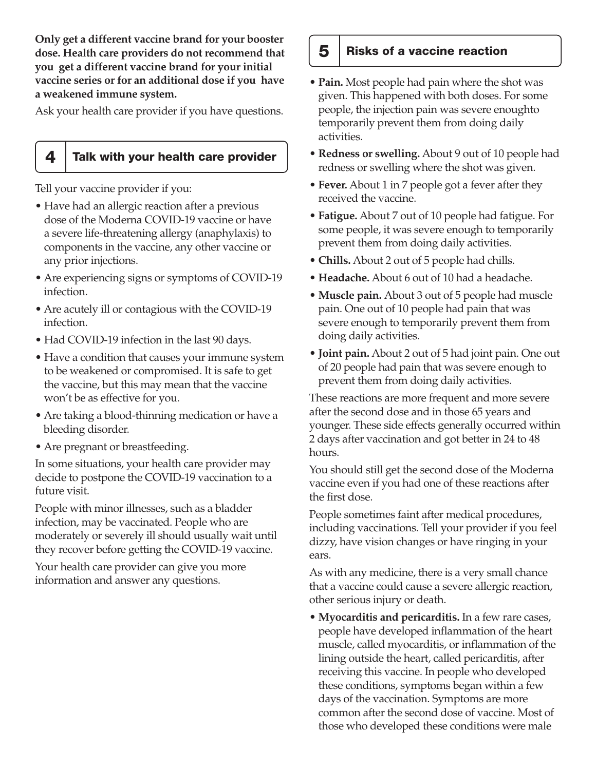**Only get a different vaccine brand for your booster dose. Health care providers do not recommend that you get a different vaccine brand for your initial vaccine series or for an additional dose if you have a weakened immune system.**

Ask your health care provider if you have questions.

#### $4$  Talk with your health care provider

Tell your vaccine provider if you:

- Have had an allergic reaction after a previous dose of the Moderna COVID-19 vaccine or have a severe life-threatening allergy (anaphylaxis) to components in the vaccine, any other vaccine or any prior injections.
- Are experiencing signs or symptoms of COVID-19 infection.
- Are acutely ill or contagious with the COVID-19 infection.
- Had COVID-19 infection in the last 90 days.
- Have a condition that causes your immune system to be weakened or compromised. It is safe to get the vaccine, but this may mean that the vaccine won't be as effective for you.
- Are taking a blood-thinning medication or have a bleeding disorder.
- Are pregnant or breastfeeding.

In some situations, your health care provider may decide to postpone the COVID-19 vaccination to a future visit.

People with minor illnesses, such as a bladder infection, may be vaccinated. People who are moderately or severely ill should usually wait until they recover before getting the COVID-19 vaccine.

Your health care provider can give you more information and answer any questions.

## 5 | Risks of a vaccine reaction

- **Pain.** Most people had pain where the shot was given. This happened with both doses. For some people, the injection pain was severe enoughto temporarily prevent them from doing daily activities.
- **Redness or swelling.** About 9 out of 10 people had redness or swelling where the shot was given.
- **Fever.** About 1 in 7 people got a fever after they received the vaccine.
- **Fatigue.** About 7 out of 10 people had fatigue. For some people, it was severe enough to temporarily prevent them from doing daily activities.
- **Chills.** About 2 out of 5 people had chills.
- **Headache.** About 6 out of 10 had a headache.
- **Muscle pain.** About 3 out of 5 people had muscle pain. One out of 10 people had pain that was severe enough to temporarily prevent them from doing daily activities.
- **Joint pain.** About 2 out of 5 had joint pain. One out of 20 people had pain that was severe enough to prevent them from doing daily activities.

These reactions are more frequent and more severe after the second dose and in those 65 years and younger. These side effects generally occurred within 2 days after vaccination and got better in 24 to 48 hours.

You should still get the second dose of the Moderna vaccine even if you had one of these reactions after the first dose.

People sometimes faint after medical procedures, including vaccinations. Tell your provider if you feel dizzy, have vision changes or have ringing in your ears.

As with any medicine, there is a very small chance that a vaccine could cause a severe allergic reaction, other serious injury or death.

• **Myocarditis and pericarditis.** In a few rare cases, people have developed inflammation of the heart muscle, called myocarditis, or inflammation of the lining outside the heart, called pericarditis, after receiving this vaccine. In people who developed these conditions, symptoms began within a few days of the vaccination. Symptoms are more common after the second dose of vaccine. Most of those who developed these conditions were male